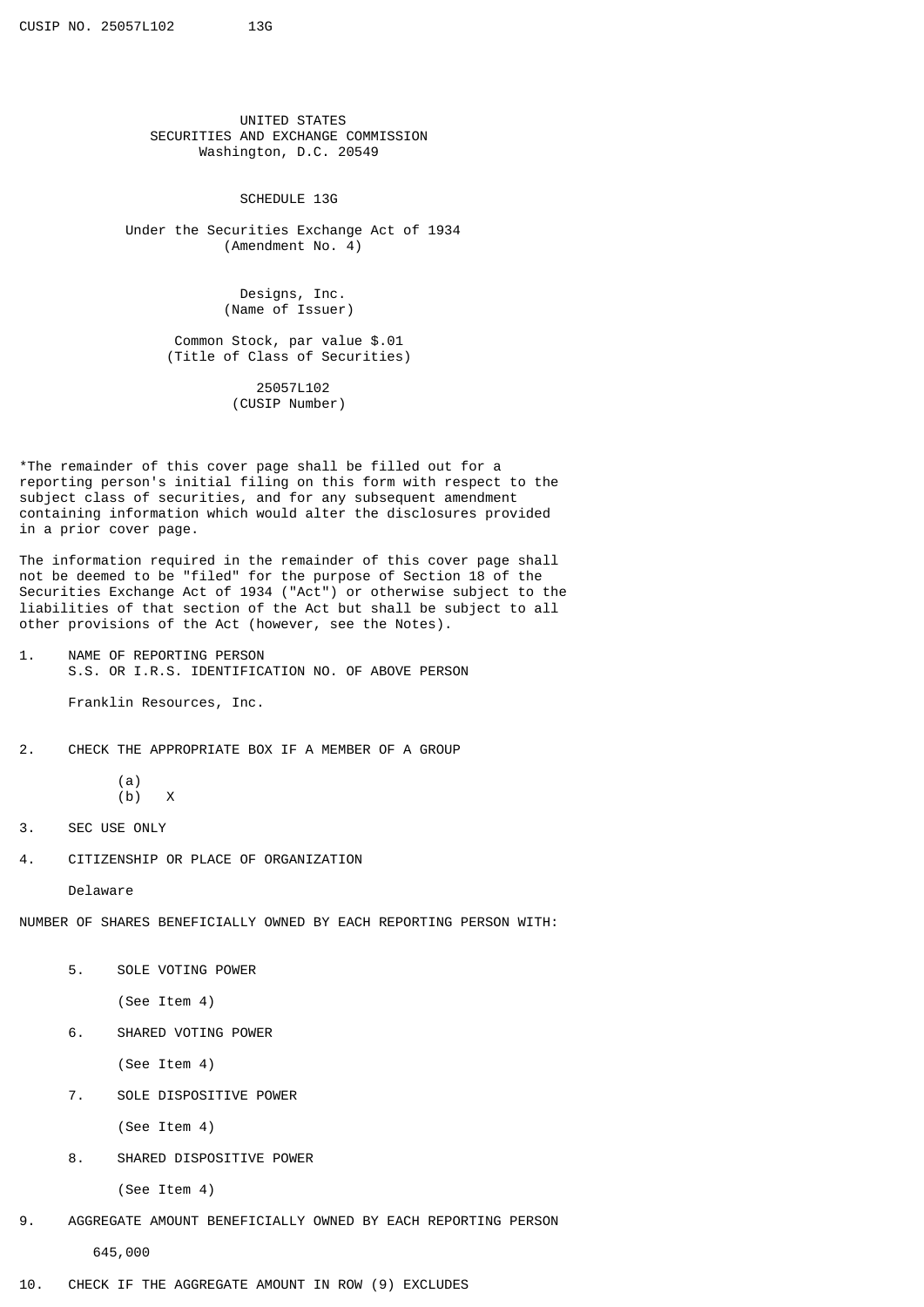UNITED STATES SECURITIES AND EXCHANGE COMMISSION Washington, D.C. 20549

# SCHEDULE 13G

 Under the Securities Exchange Act of 1934 (Amendment No. 4)

> Designs, Inc. (Name of Issuer)

 Common Stock, par value \$.01 (Title of Class of Securities)

> 25057L102 (CUSIP Number)

\*The remainder of this cover page shall be filled out for a reporting person's initial filing on this form with respect to the subject class of securities, and for any subsequent amendment containing information which would alter the disclosures provided in a prior cover page.

The information required in the remainder of this cover page shall not be deemed to be "filed" for the purpose of Section 18 of the Securities Exchange Act of 1934 ("Act") or otherwise subject to the liabilities of that section of the Act but shall be subject to all other provisions of the Act (however, see the Notes).

1. NAME OF REPORTING PERSON S.S. OR I.R.S. IDENTIFICATION NO. OF ABOVE PERSON

Franklin Resources, Inc.

- 2. CHECK THE APPROPRIATE BOX IF A MEMBER OF A GROUP
	- (a) (b) X
- 3. SEC USE ONLY
- 4. CITIZENSHIP OR PLACE OF ORGANIZATION

Delaware

NUMBER OF SHARES BENEFICIALLY OWNED BY EACH REPORTING PERSON WITH:

5. SOLE VOTING POWER

(See Item 4)

6. SHARED VOTING POWER

(See Item 4)

7. SOLE DISPOSITIVE POWER

(See Item 4)

8. SHARED DISPOSITIVE POWER

(See Item 4)

9. AGGREGATE AMOUNT BENEFICIALLY OWNED BY EACH REPORTING PERSON

645,000

10. CHECK IF THE AGGREGATE AMOUNT IN ROW (9) EXCLUDES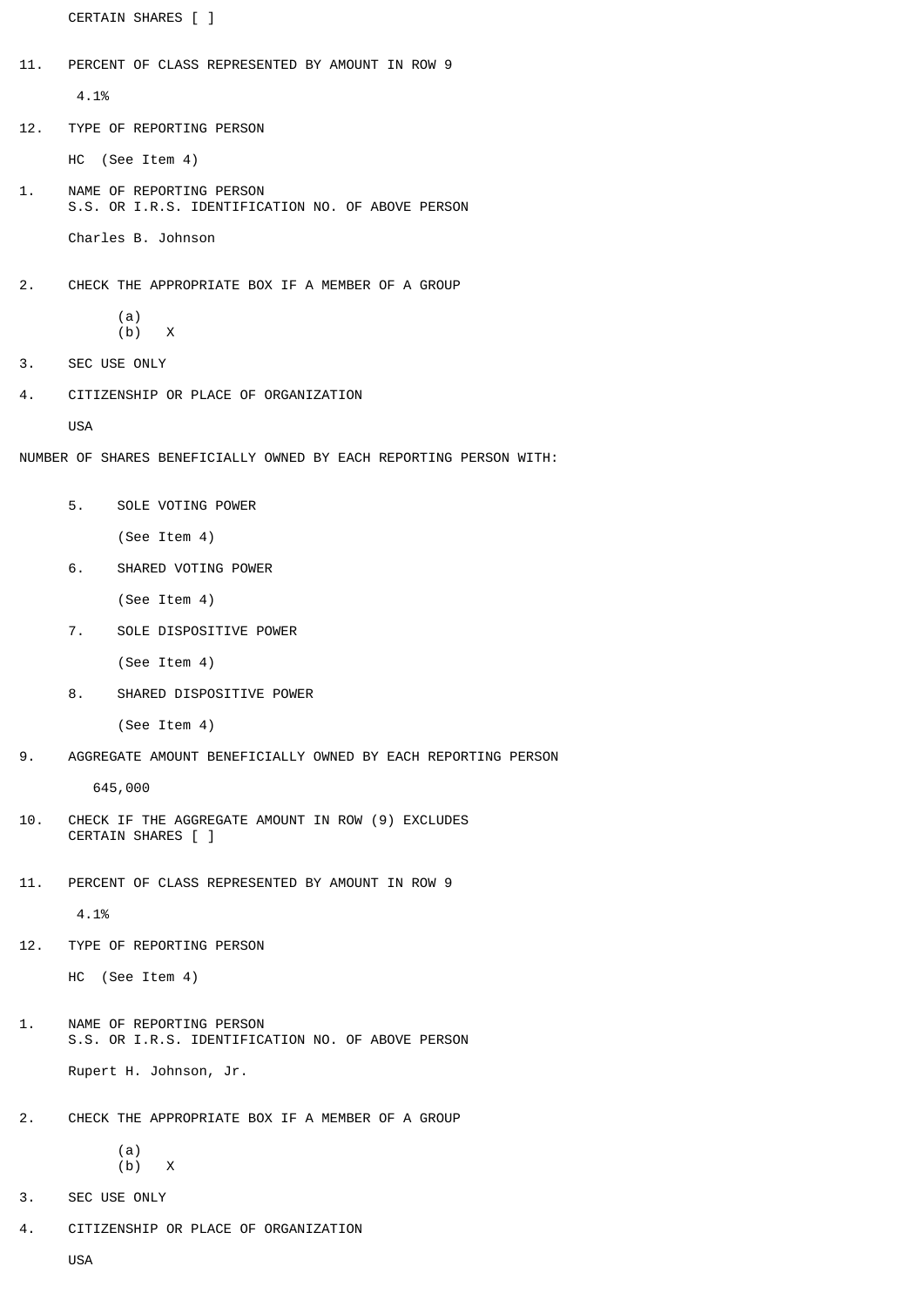CERTAIN SHARES [ ]

11. PERCENT OF CLASS REPRESENTED BY AMOUNT IN ROW 9

4.1%

12. TYPE OF REPORTING PERSON

HC (See Item 4)

- 1. NAME OF REPORTING PERSON S.S. OR I.R.S. IDENTIFICATION NO. OF ABOVE PERSON Charles B. Johnson
- 2. CHECK THE APPROPRIATE BOX IF A MEMBER OF A GROUP

 (a)  $(b)$  X

- 3. SEC USE ONLY
- 4. CITIZENSHIP OR PLACE OF ORGANIZATION

USA

NUMBER OF SHARES BENEFICIALLY OWNED BY EACH REPORTING PERSON WITH:

5. SOLE VOTING POWER

(See Item 4)

6. SHARED VOTING POWER

(See Item 4)

7. SOLE DISPOSITIVE POWER

(See Item 4)

8. SHARED DISPOSITIVE POWER

(See Item 4)

9. AGGREGATE AMOUNT BENEFICIALLY OWNED BY EACH REPORTING PERSON

645,000

- 10. CHECK IF THE AGGREGATE AMOUNT IN ROW (9) EXCLUDES CERTAIN SHARES [ ]
- 11. PERCENT OF CLASS REPRESENTED BY AMOUNT IN ROW 9

4.1%

12. TYPE OF REPORTING PERSON

HC (See Item 4)

1. NAME OF REPORTING PERSON S.S. OR I.R.S. IDENTIFICATION NO. OF ABOVE PERSON Rupert H. Johnson, Jr.

2. CHECK THE APPROPRIATE BOX IF A MEMBER OF A GROUP

- (a) (b) X
- 3. SEC USE ONLY
- 4. CITIZENSHIP OR PLACE OF ORGANIZATION

USA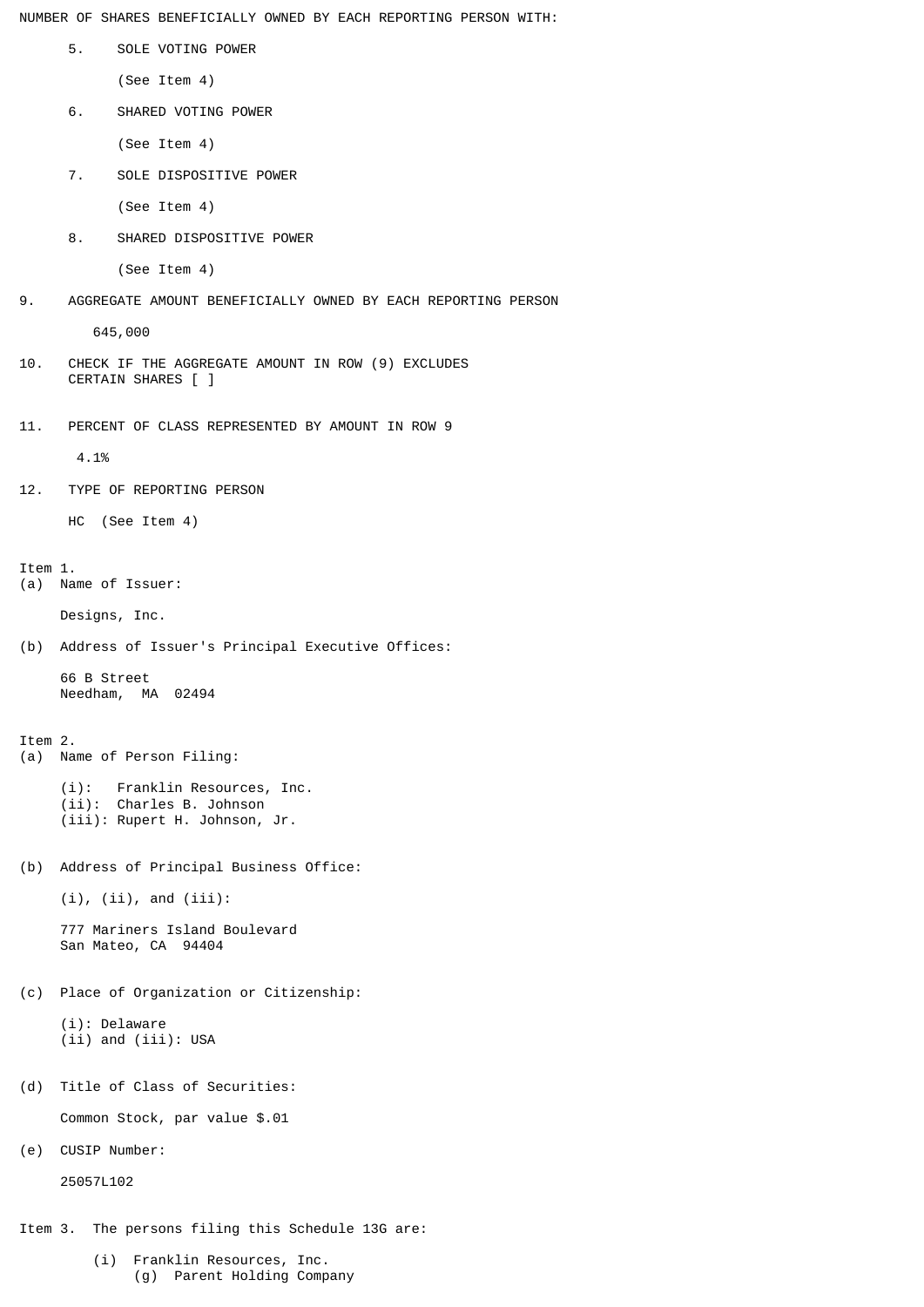NUMBER OF SHARES BENEFICIALLY OWNED BY EACH REPORTING PERSON WITH:

- 5. SOLE VOTING POWER
	- (See Item 4)
- 6. SHARED VOTING POWER
	- (See Item 4)
- 7. SOLE DISPOSITIVE POWER
	- (See Item 4)
- 8. SHARED DISPOSITIVE POWER
	- (See Item 4)
- 9. AGGREGATE AMOUNT BENEFICIALLY OWNED BY EACH REPORTING PERSON

645,000

- 10. CHECK IF THE AGGREGATE AMOUNT IN ROW (9) EXCLUDES CERTAIN SHARES [ ]
- 11. PERCENT OF CLASS REPRESENTED BY AMOUNT IN ROW 9

4.1%

12. TYPE OF REPORTING PERSON

HC (See Item 4)

#### Item 1.

(a) Name of Issuer:

Designs, Inc.

(b) Address of Issuer's Principal Executive Offices:

 66 B Street Needham, MA 02494

Item 2. (a) Name of Person Filing:

 (i): Franklin Resources, Inc. (ii): Charles B. Johnson (iii): Rupert H. Johnson, Jr.

(b) Address of Principal Business Office:

(i), (ii), and (iii):

 777 Mariners Island Boulevard San Mateo, CA 94404

(c) Place of Organization or Citizenship:

 (i): Delaware (ii) and (iii): USA

(d) Title of Class of Securities:

Common Stock, par value \$.01

(e) CUSIP Number:

25057L102

Item 3. The persons filing this Schedule 13G are:

 (i) Franklin Resources, Inc. (g) Parent Holding Company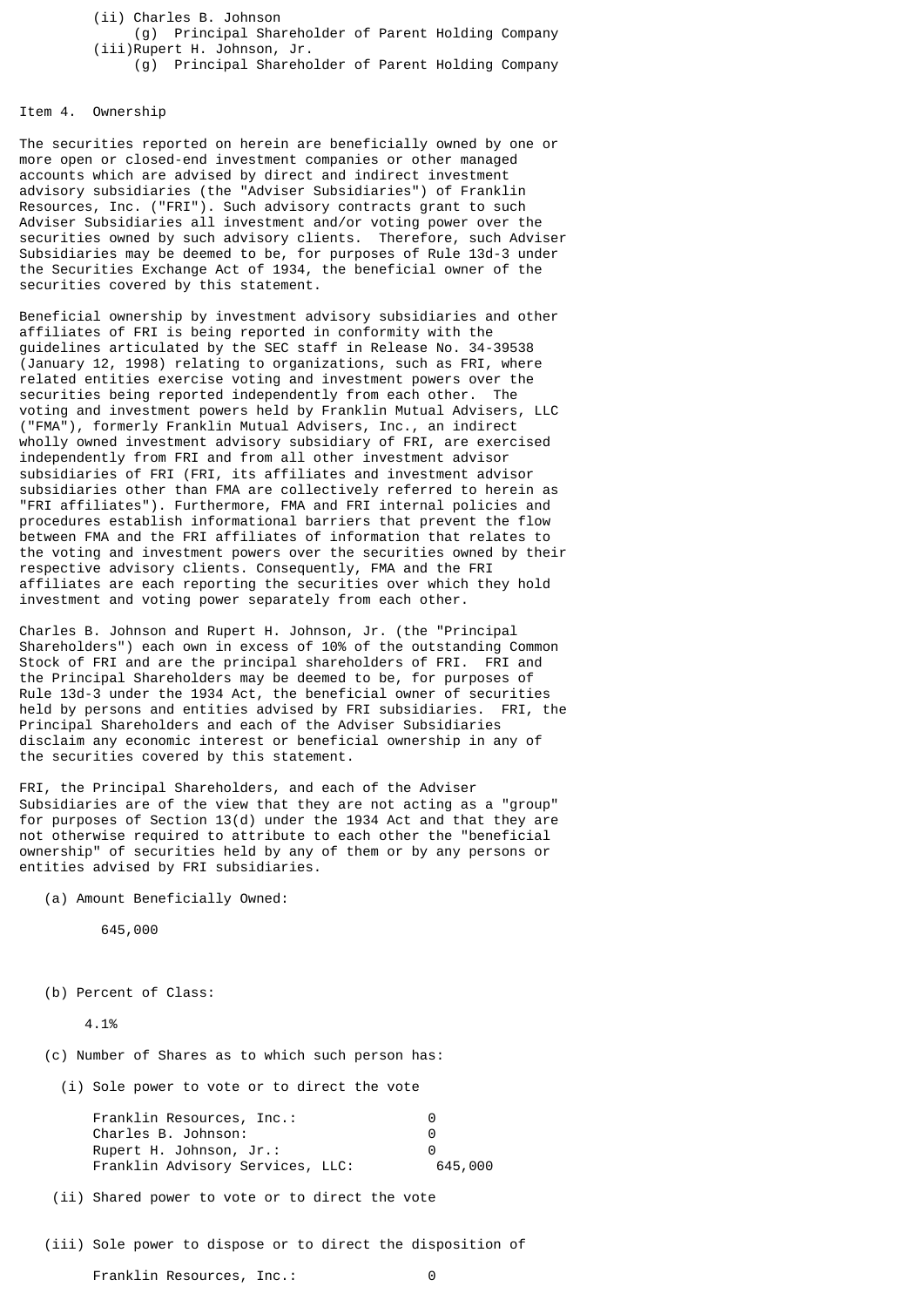(ii) Charles B. Johnson (g) Principal Shareholder of Parent Holding Company (iii)Rupert H. Johnson, Jr.

(g) Principal Shareholder of Parent Holding Company

#### Item 4. Ownership

The securities reported on herein are beneficially owned by one or more open or closed-end investment companies or other managed accounts which are advised by direct and indirect investment advisory subsidiaries (the "Adviser Subsidiaries") of Franklin Resources, Inc. ("FRI"). Such advisory contracts grant to such Adviser Subsidiaries all investment and/or voting power over the securities owned by such advisory clients. Therefore, such Adviser Subsidiaries may be deemed to be, for purposes of Rule 13d-3 under the Securities Exchange Act of 1934, the beneficial owner of the securities covered by this statement.

Beneficial ownership by investment advisory subsidiaries and other affiliates of FRI is being reported in conformity with the guidelines articulated by the SEC staff in Release No. 34-39538 (January 12, 1998) relating to organizations, such as FRI, where related entities exercise voting and investment powers over the securities being reported independently from each other. The voting and investment powers held by Franklin Mutual Advisers, LLC ("FMA"), formerly Franklin Mutual Advisers, Inc., an indirect wholly owned investment advisory subsidiary of FRI, are exercised independently from FRI and from all other investment advisor subsidiaries of FRI (FRI, its affiliates and investment advisor subsidiaries other than FMA are collectively referred to herein as "FRI affiliates"). Furthermore, FMA and FRI internal policies and procedures establish informational barriers that prevent the flow between FMA and the FRI affiliates of information that relates to the voting and investment powers over the securities owned by their respective advisory clients. Consequently, FMA and the FRI affiliates are each reporting the securities over which they hold investment and voting power separately from each other.

Charles B. Johnson and Rupert H. Johnson, Jr. (the "Principal Shareholders") each own in excess of 10% of the outstanding Common Stock of FRI and are the principal shareholders of FRI. FRI and the Principal Shareholders may be deemed to be, for purposes of Rule 13d-3 under the 1934 Act, the beneficial owner of securities held by persons and entities advised by FRI subsidiaries. FRI, the Principal Shareholders and each of the Adviser Subsidiaries disclaim any economic interest or beneficial ownership in any of the securities covered by this statement.

FRI, the Principal Shareholders, and each of the Adviser Subsidiaries are of the view that they are not acting as a "group" for purposes of Section  $13(d)$  under the 1934 Act and that they are not otherwise required to attribute to each other the "beneficial ownership" of securities held by any of them or by any persons or entities advised by FRI subsidiaries.

(a) Amount Beneficially Owned:

645,000

(b) Percent of Class:

4.1%

- (c) Number of Shares as to which such person has:
	- (i) Sole power to vote or to direct the vote

| Franklin Resources, Inc.:        | Θ       |
|----------------------------------|---------|
| Charles B. Johnson:              | 0       |
| Rupert H. Johnson, Jr.:          | റ       |
| Franklin Advisory Services, LLC: | 645,000 |

- (ii) Shared power to vote or to direct the vote
- (iii) Sole power to dispose or to direct the disposition of

Franklin Resources, Inc.: 0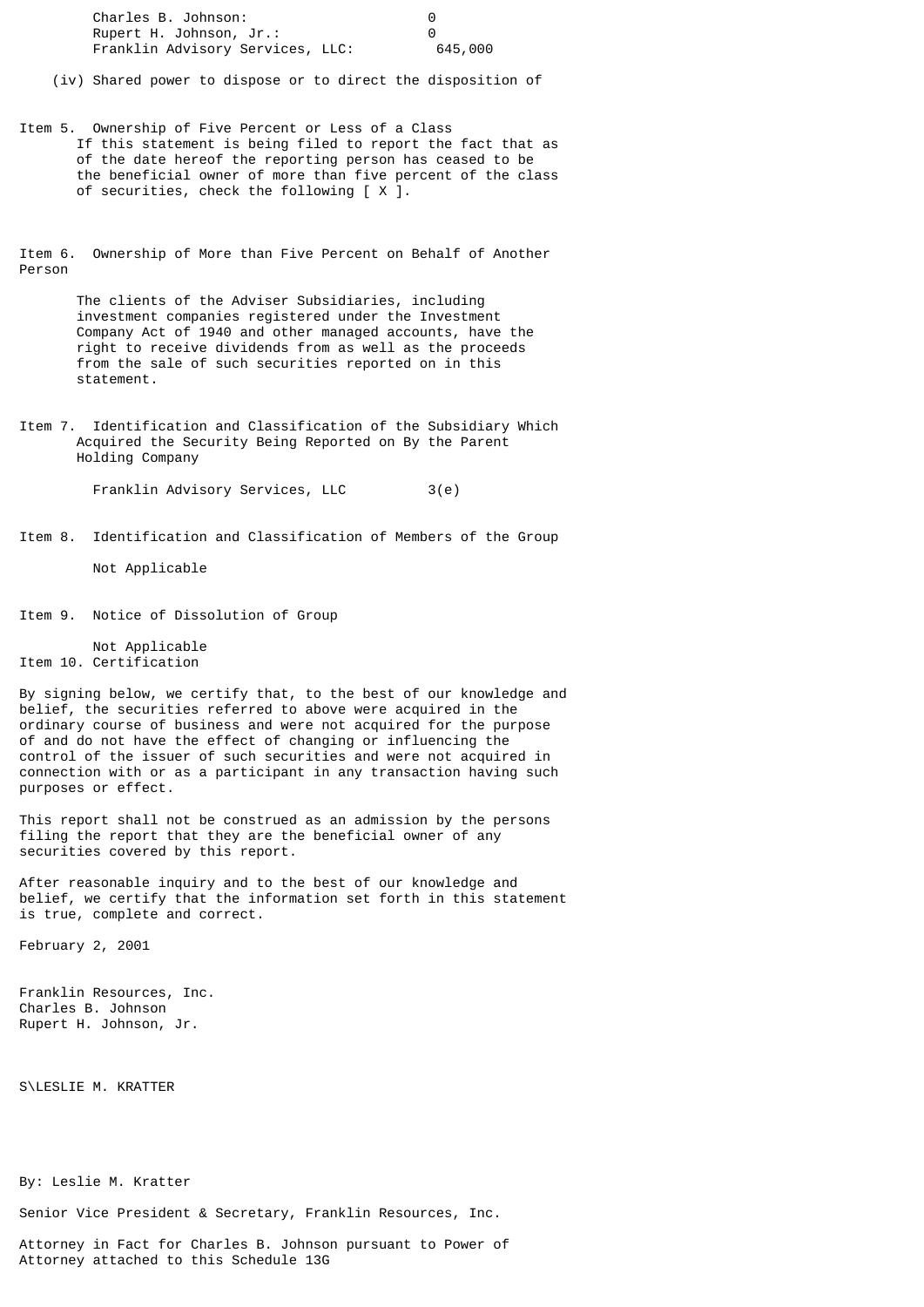Charles B. Johnson: 0 Rupert H. Johnson, Jr.:<br>Franklin Advisory Services. IIC: 645.000 Franklin Advisory Services, LLC:

(iv) Shared power to dispose or to direct the disposition of

Item 5. Ownership of Five Percent or Less of a Class If this statement is being filed to report the fact that as of the date hereof the reporting person has ceased to be the beneficial owner of more than five percent of the class of securities, check the following  $[X]$ .

Item 6. Ownership of More than Five Percent on Behalf of Another Person

> The clients of the Adviser Subsidiaries, including investment companies registered under the Investment Company Act of 1940 and other managed accounts, have the right to receive dividends from as well as the proceeds from the sale of such securities reported on in this statement.

Item 7. Identification and Classification of the Subsidiary Which Acquired the Security Being Reported on By the Parent Holding Company

Franklin Advisory Services, LLC 3(e)

Item 8. Identification and Classification of Members of the Group

Not Applicable

Item 9. Notice of Dissolution of Group

 Not Applicable Item 10. Certification

By signing below, we certify that, to the best of our knowledge and belief, the securities referred to above were acquired in the ordinary course of business and were not acquired for the purpose of and do not have the effect of changing or influencing the control of the issuer of such securities and were not acquired in connection with or as a participant in any transaction having such purposes or effect.

This report shall not be construed as an admission by the persons filing the report that they are the beneficial owner of any securities covered by this report.

After reasonable inquiry and to the best of our knowledge and belief, we certify that the information set forth in this statement is true, complete and correct.

February 2, 2001

Franklin Resources, Inc. Charles B. Johnson Rupert H. Johnson, Jr.

S\LESLIE M. KRATTER

By: Leslie M. Kratter

Senior Vice President & Secretary, Franklin Resources, Inc.

Attorney in Fact for Charles B. Johnson pursuant to Power of Attorney attached to this Schedule 13G